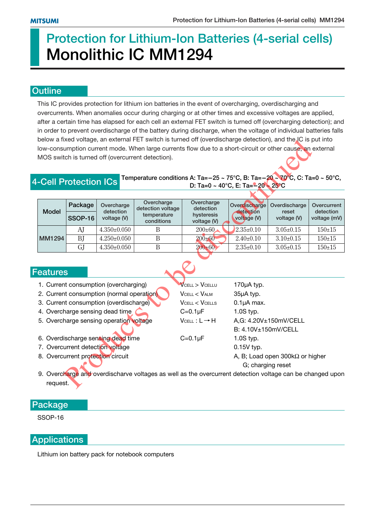# **Protection for Lithium-Ion Batteries (4-serial cells) Monolithic IC MM1294**

### **Outline**

This IC provides protection for lithium ion batteries in the event of overcharging, overdischarging and overcurrents. When anomalies occur during charging or at other times and excessive voltages are applied, after a certain time has elapsed for each cell an external FET switch is turned off (overcharging detection); and in order to prevent overdischarge of the battery during discharge, when the voltage of individual batteries falls below a fixed voltage, an external FET switch is turned off (overdischarge detection), and the IC is put into low-consumption current mode. When large currents flow due to a short-circuit or other cause, an external MOS switch is turned off (overcurrent detection).

#### **4-Cell Protection ICs Temperature conditions A: Ta=-25 ~ 75°C, B: Ta=-20 ~ 70°C, C: Ta=0 ~ 50°C, D: Ta=0 ~ 40°C, E: Ta= - 20 ~ 25°C**

| below a fixed voltage, an external FET switch is turned off (overdischarge detection), and the IC is put into |                                                                                                           |                                       |                                                                                                           |                              |                                        |                        |                          |  |  |
|---------------------------------------------------------------------------------------------------------------|-----------------------------------------------------------------------------------------------------------|---------------------------------------|-----------------------------------------------------------------------------------------------------------|------------------------------|----------------------------------------|------------------------|--------------------------|--|--|
|                                                                                                               |                                                                                                           |                                       | low-consumption current mode. When large currents flow due to a short-circuit or other cause, an external |                              |                                        |                        |                          |  |  |
| MOS switch is turned off (overcurrent detection).                                                             |                                                                                                           |                                       |                                                                                                           |                              |                                        |                        |                          |  |  |
|                                                                                                               |                                                                                                           |                                       | Temperature conditions A: Ta=-25 ~ 75°C, B: Ta=-20 ~ 70°C, C: Ta=0 ~ 50°C,                                |                              |                                        |                        |                          |  |  |
|                                                                                                               | <b>-Cell Protection ICs</b><br>D: Ta=0 ~ 40°C, E: Ta= $-20 - 25$ °C                                       |                                       |                                                                                                           |                              |                                        |                        |                          |  |  |
|                                                                                                               |                                                                                                           |                                       |                                                                                                           |                              |                                        |                        |                          |  |  |
| <b>Model</b>                                                                                                  | Package                                                                                                   | Overcharge<br>detection               | Overcharge<br>detection voltage                                                                           | Overcharge<br>detection      | Overdischarge<br>detection             | Overdischarge<br>reset | Overcurrent<br>detection |  |  |
|                                                                                                               | <b>SSOP-16</b>                                                                                            | voltage (V)                           | temperature<br>conditions                                                                                 | hysteresis<br>voltage (V)    | voltage (V)                            | voltage (V)            | voltage (mV)             |  |  |
|                                                                                                               | AJ                                                                                                        | $4.350 \pm 0.050$                     | B                                                                                                         | $200 \pm 60$                 | $2.35 \pm 0.10$                        | $3.05 \pm 0.15$        | $150 + 15$               |  |  |
| MM1294                                                                                                        | <b>BJ</b>                                                                                                 | $4.250 \pm 0.050$                     | $\mathbf{B}$                                                                                              | $200 + 60$                   | $2.40 \pm 0.10$                        | $3.10 \pm 0.15$        | $150 + 15$               |  |  |
|                                                                                                               | <b>GJ</b>                                                                                                 | $4.350 \pm 0.050$                     | $\mathbf B$                                                                                               | $200 + 60$                   | $2.35 \pm 0.10$                        | $3.05 \pm 0.15$        | $150 + 15$               |  |  |
|                                                                                                               |                                                                                                           |                                       |                                                                                                           |                              |                                        |                        |                          |  |  |
|                                                                                                               |                                                                                                           |                                       |                                                                                                           |                              |                                        |                        |                          |  |  |
| eatures                                                                                                       |                                                                                                           |                                       |                                                                                                           |                              |                                        |                        |                          |  |  |
|                                                                                                               |                                                                                                           | 1. Current consumption (overcharging) |                                                                                                           | <b>VCELL &gt; VCELLU</b>     | 170µA typ.                             |                        |                          |  |  |
| 2. Current consumption (normal operation)                                                                     |                                                                                                           |                                       |                                                                                                           | VCELL < VALM                 | 35µA typ.                              |                        |                          |  |  |
| 3. Current consumption (overdischarge)                                                                        |                                                                                                           |                                       |                                                                                                           | <b>VCELL &lt; VCELLS</b>     | $0.1\mu A$ max.                        |                        |                          |  |  |
| 4. Overcharge sensing dead time                                                                               |                                                                                                           |                                       |                                                                                                           | $C=0.1\mu F$                 | $1.0S$ typ.                            |                        |                          |  |  |
| 5. Overcharge sensing operation voltage                                                                       |                                                                                                           |                                       |                                                                                                           | $V$ CELL : $L \rightarrow H$ | A,G: 4.20V±150mV/CELL                  |                        |                          |  |  |
|                                                                                                               |                                                                                                           |                                       |                                                                                                           |                              | B: 4.10V±150mV/CELL                    |                        |                          |  |  |
| 6. Overdischarge sensing dead time                                                                            |                                                                                                           |                                       |                                                                                                           | $C=0.1\mu F$                 | $1.0S$ typ.                            |                        |                          |  |  |
| 7. Overcurrent detection voltage                                                                              |                                                                                                           |                                       |                                                                                                           |                              | $0.15V$ typ.                           |                        |                          |  |  |
| 8. Overcurrent protection circuit                                                                             |                                                                                                           |                                       |                                                                                                           |                              | A, B; Load open $300k\Omega$ or higher |                        |                          |  |  |
|                                                                                                               |                                                                                                           |                                       |                                                                                                           | G; charging reset            |                                        |                        |                          |  |  |
|                                                                                                               | 9. Overcharge and overdischarve voltages as well as the overcurrent detection voltage can be changed upon |                                       |                                                                                                           |                              |                                        |                        |                          |  |  |
| request.                                                                                                      |                                                                                                           |                                       |                                                                                                           |                              |                                        |                        |                          |  |  |

#### **Features**

- 2. Current consumption (normal operation)  $V_{\text{CELL}} < V_{\text{ALM}}$  35µA typ. 3. Current consumption (overdischarge) VCELL < VCELLS 0.1µA max.
- 4. Overcharge sensing dead time  $C = 0.1 \mu F$  1.0S typ.
- 
- 6. Overdischarge sensing dead time  $C=0.1 \mu F$  1.0S typ.
- 7. Overcurrent detection voltage 0.15V typ.
- 8. Overcurrent protection circuit A, B; Load open 300kΩ or higher

#### **Package**

SSOP-16

### **Applications**

Lithium ion battery pack for notebook computers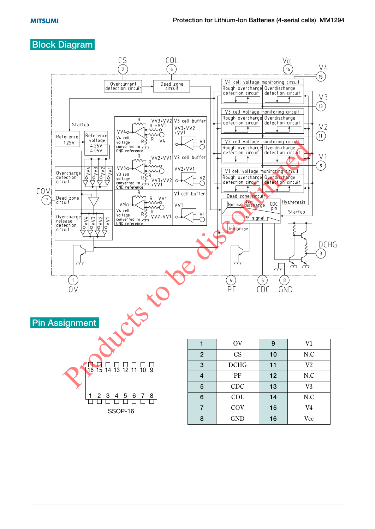#### **Block Diagram**

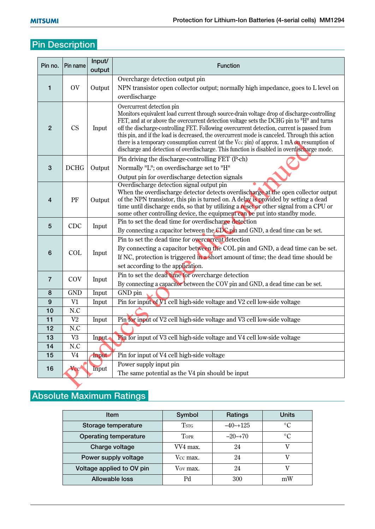## **Pin Description**

| Pin no.        | Pin name           | Input/<br>output | <b>Function</b>                                                                                                                                                                                                                                                                                                                                                                                                                                                                                                                                                                                                  |
|----------------|--------------------|------------------|------------------------------------------------------------------------------------------------------------------------------------------------------------------------------------------------------------------------------------------------------------------------------------------------------------------------------------------------------------------------------------------------------------------------------------------------------------------------------------------------------------------------------------------------------------------------------------------------------------------|
| 1              | OV                 | Output           | Overcharge detection output pin<br>NPN transistor open collector output; normally high impedance, goes to L level on<br>overdischarge                                                                                                                                                                                                                                                                                                                                                                                                                                                                            |
| $\overline{2}$ | CS                 | Input            | Overcurrent detection pin<br>Monitors equivalent load current through source-drain voltage drop of discharge-controlling<br>FET, and at or above the overcurrent detection voltage sets the DCHG pin to "H" and turns<br>off the discharge-controlling FET. Following overcurrent detection, current is passed from<br>this pin, and if the load is decreased, the overcurrent mode is canceled. Through this action<br>there is a temporary consumption current (at the Vcc pin) of approx. 1 mA on resumption of<br>discharge and detection of overdischarge. This function is disabled in overdischarge mode. |
| 3              | <b>DCHG</b>        | Output           | Pin driving the discharge-controlling FET (P-ch)<br>Normally "L"; on overdischarge set to "H"<br>Output pin for overdischarge detection signals                                                                                                                                                                                                                                                                                                                                                                                                                                                                  |
| 4              | PF                 | Output           | Overdischarge detection signal output pin<br>When the overdischarge detector detects overdischarge at the open collector output<br>of the NPN transistor, this pin is turned on. A delay is provided by setting a dead<br>time until discharge ends, so that by utilizing a reset or other signal from a CPU or<br>some other controlling device, the equipment can be put into standby mode.                                                                                                                                                                                                                    |
| 5              | CDC                | Input            | Pin to set the dead time for overdischarge detection<br>By connecting a capacitor between the CDC pin and GND, a dead time can be set.                                                                                                                                                                                                                                                                                                                                                                                                                                                                           |
| 6              | COL                | Input            | Pin to set the dead time for overcurrent detection<br>By connecting a capacitor between the COL pin and GND, a dead time can be set.<br>If NC, protection is triggered in a short amount of time; the dead time should be<br>set according to the application.                                                                                                                                                                                                                                                                                                                                                   |
| $\overline{7}$ | COV                | Input            | Pin to set the dead time for overcharge detection<br>By connecting a capacitor between the COV pin and GND, a dead time can be set.                                                                                                                                                                                                                                                                                                                                                                                                                                                                              |
| 8              | <b>GND</b>         | Input            | GND pin                                                                                                                                                                                                                                                                                                                                                                                                                                                                                                                                                                                                          |
| 9              | V1                 | Input            | Pin for input of V1 cell high-side voltage and V2 cell low-side voltage                                                                                                                                                                                                                                                                                                                                                                                                                                                                                                                                          |
| 10             | N.C                |                  |                                                                                                                                                                                                                                                                                                                                                                                                                                                                                                                                                                                                                  |
| 11             | $\mbox{V2}$        | Input            | Pin for input of V2 cell high-side voltage and V3 cell low-side voltage                                                                                                                                                                                                                                                                                                                                                                                                                                                                                                                                          |
| 12             | N.C                |                  |                                                                                                                                                                                                                                                                                                                                                                                                                                                                                                                                                                                                                  |
| 13<br>14       | $\mbox{V3}$<br>N.C | Input            | Pin for input of V3 cell high-side voltage and V4 cell low-side voltage                                                                                                                                                                                                                                                                                                                                                                                                                                                                                                                                          |
| 15             | V <sub>4</sub>     | Input            | Pin for input of V4 cell high-side voltage                                                                                                                                                                                                                                                                                                                                                                                                                                                                                                                                                                       |
|                |                    |                  | Power supply input pin                                                                                                                                                                                                                                                                                                                                                                                                                                                                                                                                                                                           |
| 16             | Vcc                | Input            | The same potential as the V4 pin should be input                                                                                                                                                                                                                                                                                                                                                                                                                                                                                                                                                                 |
|                |                    |                  |                                                                                                                                                                                                                                                                                                                                                                                                                                                                                                                                                                                                                  |

## **Absolute Maximum Ratings**

| <b>Item</b>                  | Symbol      | Ratings      | <b>Units</b>    |  |
|------------------------------|-------------|--------------|-----------------|--|
| Storage temperature          | <b>TSTG</b> | $-40$ $-125$ | $\rm ^{\circ}C$ |  |
| <b>Operating temperature</b> | TOPR        | $-20$ ~+70   | $\rm ^{\circ}C$ |  |
| Charge voltage               | VV4 max.    | 24           |                 |  |
| Power supply voltage         | Vcc max.    | 24           |                 |  |
| Voltage applied to OV pin    | Vov max.    | 24           |                 |  |
| Allowable loss               |             | 300          | mW              |  |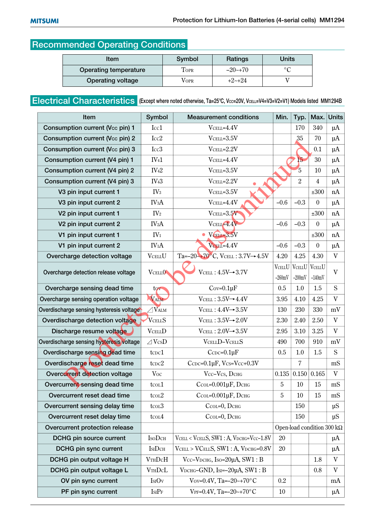### **Recommended Operating Conditions**

| Item                     | Symbol      | Ratings     | Units          |  |
|--------------------------|-------------|-------------|----------------|--|
| Operating temperature    | <b>FOPR</b> | $-20$ ~+70  | $\circ$ $\sim$ |  |
| <b>Operating voltage</b> | Vopr        | $+2$ $-+24$ |                |  |

### **Electrical Characteristics** (Except where noted otherwise, Ta=25°C, Vcc=20V, VcELL=V4=V3=V2=V1) Models listed MM1294B

| Item                                          | Symbol                  | <b>Measurement conditions</b>                                                      | Min.           | Typ.           | Max.                               | <b>Units</b>              |
|-----------------------------------------------|-------------------------|------------------------------------------------------------------------------------|----------------|----------------|------------------------------------|---------------------------|
| Consumption current (Vcc pin) 1               | Icc1                    | $V$ CELL=4.4 $V$                                                                   |                | 170            | 340                                | $\mu$ A                   |
| Consumption current (Vcc pin) 2               | Icc2                    | $V$ CELL= $3.5V$                                                                   |                | 35             | 70                                 | $\mu$ A                   |
| Consumption current (Vcc pin) 3               | Icc <sub>3</sub>        | $V$ CELL= $2.2V$                                                                   |                |                | 0.1                                | $\mu$ A                   |
| Consumption current (V4 pin) 1                | IV <sub>41</sub>        | $V$ CELL=4.4 $V$                                                                   |                | 15             | 30                                 | $\mu A$                   |
| Consumption current (V4 pin) 2                | IV <sub>42</sub>        | $V$ CELL= $3.5V$                                                                   |                | $\overline{5}$ | 10                                 | $\mu$ A                   |
| Consumption current (V4 pin) 3                | IV <sub>43</sub>        | $V$ CELL= $2.2V$                                                                   |                | $\overline{2}$ | $\overline{4}$                     | $\mu$ A                   |
| V3 pin input current 1                        | IV <sub>3</sub>         | $V$ CELL= $3.5V$                                                                   |                |                | ±300                               | nA                        |
| V3 pin input current 2                        | IV <sub>3</sub> A       | $V$ CELL=4.4 $V$                                                                   | $-0.6$         | $-0.3$         | $\boldsymbol{0}$                   | $\mu A$                   |
| V <sub>2</sub> pin input current 1            | IV <sub>2</sub>         | $V$ CELL=3.5 $V$                                                                   |                |                | ±300                               | nA                        |
| V <sub>2</sub> pin input current <sub>2</sub> | IV <sub>2</sub> A       | $V$ CELL $=4.4V$                                                                   | $-0.6$         | $-0.3$         | $\boldsymbol{0}$                   | $\mu$ A                   |
| V1 pin input current 1                        | IV <sub>1</sub>         | $\bullet$ VCELI=3.5V                                                               |                |                | ±300                               | nA                        |
| V1 pin input current 2                        | IV <sub>1</sub> A       | VCELL=4.4V                                                                         | $-0.6$         | $-0.3$         | $\boldsymbol{0}$                   | $\mu$ A                   |
| Overcharge detection voltage                  | <b>VCELLU</b>           | Ta= $-20$ <sup><math>-470</math>°C, VCELL: 3.7V<math>\rightarrow</math> 4.5V</sup> | 4.20           | 4.25           | 4.30                               | V                         |
| Overcharge detection release voltage          | VCELLO <sup>®</sup>     | $V$ CELL: $4.5V \rightarrow 3.7V$                                                  | <b>VCELLU</b>  | <b>VCELLU</b>  | <b>VCELLU</b>                      | $\mathbf{V}$              |
|                                               |                         |                                                                                    | $-260mV$       | $-200mV$       | $-140mV$                           |                           |
| Overcharge sensing dead time                  | tov                     | $Cov=0.1\mu F$                                                                     | 0.5            | 1.0            | 1.5                                | S                         |
| Overcharge sensing operation voltage          | VALM                    | $V$ CELL: $3.5V \rightarrow 4.4V$                                                  | 3.95           | 4.10           | 4.25                               | $\ensuremath{\mathbf{V}}$ |
| Overdischarge sensing hysteresis voltage      | $\sqrt{V_{\text{ALM}}}$ | $V$ CELL: $4.4V \rightarrow 3.5V$                                                  | 130            | 230            | 330                                | mV                        |
| Overdischarge detection voltage               | <b>VCELLS</b>           | $V$ CELL: $3.5V \rightarrow 2.0V$                                                  | 2.30           | 2.40           | 2.50                               | V                         |
| Discharge resume voltage                      | <b>VCELLD</b>           | $V$ CELL : $2.0V \rightarrow 3.5V$                                                 | 2.95           | 3.10           | 3.25                               | $\mathbf V$               |
| Overdischarge sensing hysteresis voltage      | $\angle$ VcsD           | VCELLD-VCELLS                                                                      | 490            | 700            | 910                                | mV                        |
| Overdischarge sensing dead time               | tc <sub>DC</sub> 1      | $C$ CDC=0.1 $\mu$ F                                                                | 0.5            | 1.0            | 1.5                                | S                         |
| Overdischarge reset dead time                 | $t$ c $c$ $c$ $2$       | CCDC= $0.1\mu$ F, Vcs=Vcc+ $0.3V$                                                  |                | $\overline{7}$ |                                    | mS                        |
| Overcurrent detection voltage                 | Voc                     | Vcc-Vcs, DCHG                                                                      | 0.135          | 0.150          | 0.165                              | V                         |
| Overcurrent sensing dead time                 | tco <sub>L</sub> 1      | $Ccol=0.001\mu F$ , DCHG                                                           | $\overline{5}$ | 10             | 15                                 | mS                        |
| Overcurrent reset dead time                   | tcol2                   | $Ccol=0.001\mu F$ , DCHG                                                           | 5              | 10             | 15                                 | mS                        |
| Overcurrent sensing delay time                | tcol <sub>3</sub>       | СсоL=0, DснG                                                                       |                | 150            |                                    | $\mu S$                   |
| Overcurrent reset delay time                  | $t$ col $4$             | СсоL=0, DснG                                                                       |                | 150            |                                    | $\mu S$                   |
| Overcurrent protection release                |                         |                                                                                    |                |                | Open-load condition 300 k $\Omega$ |                           |
| DCHG pin source current                       | <b>ISODCH</b>           | VCELL < VCELLS, SW1: A, VDCHG=VCC-1.8V                                             | 20             |                |                                    | $\mu$ A                   |
| DCHG pin sync current                         | IsiDcH                  | VCELL > VCELLS, SW1: A, VDCHG=0.8V                                                 | 20             |                |                                    | $\mu$ A                   |
| DCHG pin output voltage H                     | VTHDCH                  | Vcc-V <sub>DCHG</sub> , Iso=20µA, SW1: В                                           |                |                | 1.8                                | V                         |
| DCHG pin output voltage L                     | <b>VTHDcL</b>           | V <sub>DCHG</sub> -GND, I <sub>SI</sub> = $-20\mu$ A, SW1: В                       |                |                | 0.8                                | $\mathbf V$               |
| OV pin sync current                           | IsIOv                   | Vov=0.4V, Ta= $-20$ ~+70 $\rm{^{\circ}C}$                                          | 0.2            |                |                                    | mA                        |
| PF pin sync current                           | IsiPr                   | VPF=0.4V, Ta= $-20$ ~+70°C                                                         | 10             |                |                                    | $\mu$ A                   |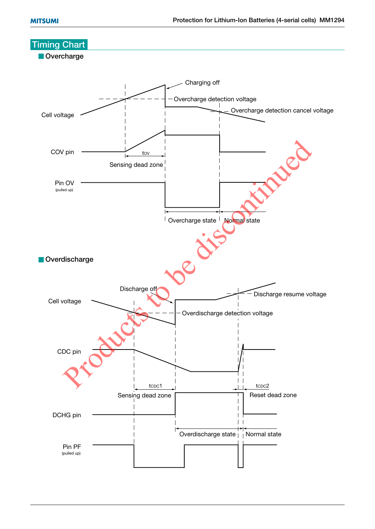